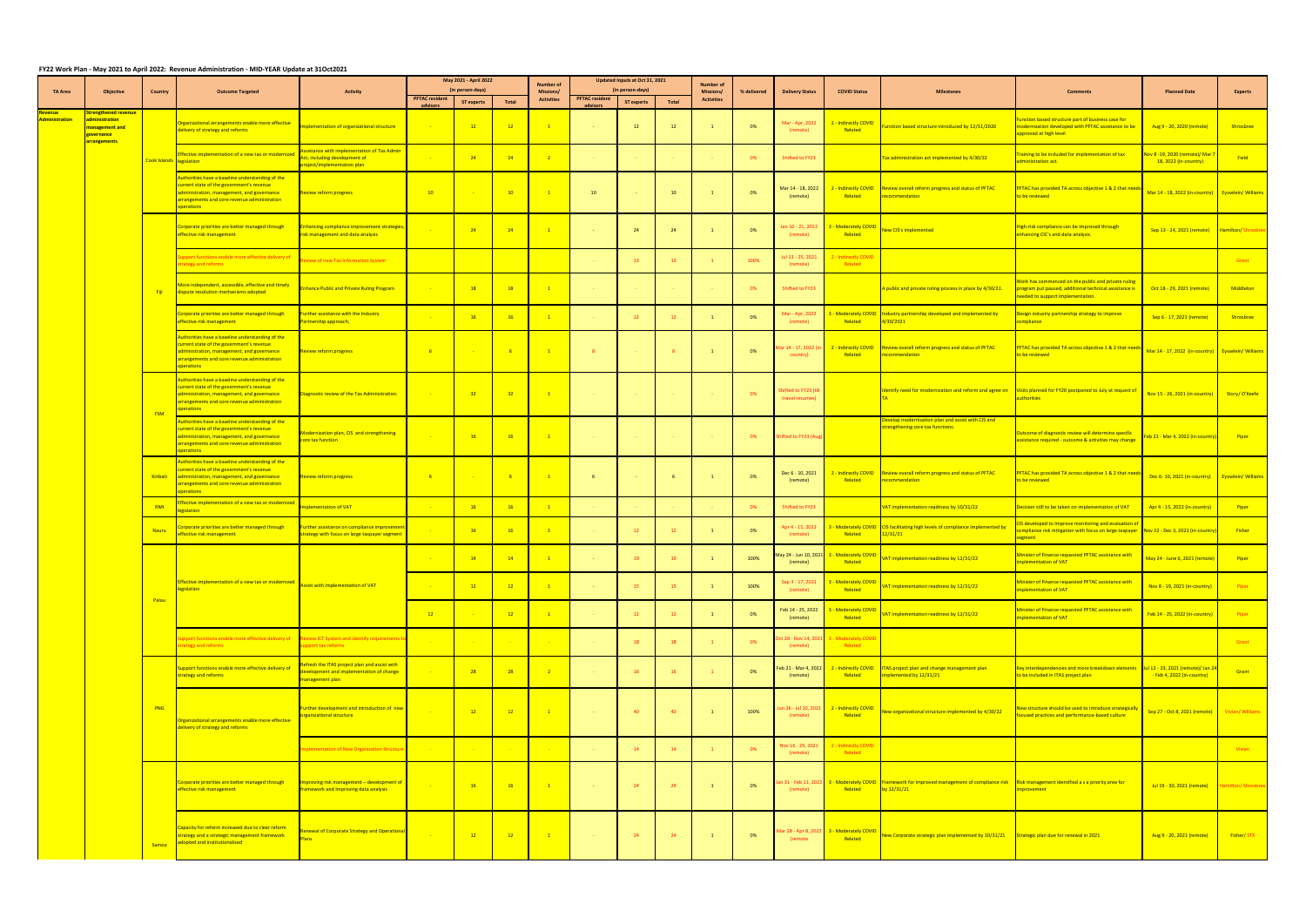## **FY22 Work Plan - May 2021 to April 2022: Revenue Administration - MID-YEAR Update at 31Oct2021**

|                             |                                                                               |                          | i izz work riali - wiay zoza to April zozz. "Kevenue Auministration - wild-TEAR Opuate at Saottzoza"                                                                                                      |                                                                                                             |                                   | May 2021 - April 2022 |                          |                               |                                   | Updated Inputs at Oct 31, 2021 |       |                                      |             |                                                 |                                                       |                                                                                                                                                                                                       |                                                                                                                                                                         |                                                                       |                          |
|-----------------------------|-------------------------------------------------------------------------------|--------------------------|-----------------------------------------------------------------------------------------------------------------------------------------------------------------------------------------------------------|-------------------------------------------------------------------------------------------------------------|-----------------------------------|-----------------------|--------------------------|-------------------------------|-----------------------------------|--------------------------------|-------|--------------------------------------|-------------|-------------------------------------------------|-------------------------------------------------------|-------------------------------------------------------------------------------------------------------------------------------------------------------------------------------------------------------|-------------------------------------------------------------------------------------------------------------------------------------------------------------------------|-----------------------------------------------------------------------|--------------------------|
| <b>TA Area</b>              | Objective                                                                     | <b>Country</b>           | <b>Outcome Targeted</b>                                                                                                                                                                                   | <b>Activity</b>                                                                                             |                                   | (in person-days)      |                          | <b>Number of</b><br>Missions/ |                                   | (in person-days)               |       | <b>Number of</b><br><b>Missions/</b> | % delivered | <b>Delivery Status</b>                          | <b>COVID Status</b>                                   | <b>Milestones</b>                                                                                                                                                                                     | <b>Comments</b>                                                                                                                                                         | <b>Planned Date</b>                                                   | <b>Experts</b>           |
|                             |                                                                               |                          |                                                                                                                                                                                                           |                                                                                                             | <b>PFTAC resident</b><br>advisors | <b>ST experts</b>     | <b>Total</b>             | <b>Activities</b>             | <b>PFTAC resident</b><br>advisors | <b>ST experts</b>              | Total | <b>Activities</b>                    |             |                                                 |                                                       |                                                                                                                                                                                                       |                                                                                                                                                                         |                                                                       |                          |
| Revenue l<br>Administration | <b>Strengthened revenue</b><br>administration<br>management and<br>governance |                          | Organizational arrangements enable more effective<br>delivery of strategy and reforms                                                                                                                     | mplementation of organizational structure                                                                   |                                   | $-12$                 | $\overline{12}$          | $\mathbf{1}$                  |                                   | 12                             | 12    |                                      | 0%          | Mar - Apr, 2022<br>(remote)                     | 2 - Indirectly COVID<br>Related                       | unction based structure introduced by 12/31/2020                                                                                                                                                      | unction based structure part of business case for<br>nodernization developed with PFTAC assistance to be<br>pproved at high level                                       | Aug 9 - 20, 2020 (remote)                                             | Shrosbree                |
|                             | arrangements                                                                  | Cook Islands legislation | Effective implementation of a new tax or modernize                                                                                                                                                        | ssistance with implementation of Tax Admin<br>Act, including development of<br>project/implementation plan  |                                   | 24                    | $-24$                    | $\overline{2}$                |                                   | <b>Contract</b>                |       |                                      | 0%          | Shifted to FY23                                 |                                                       | Tax administration act implemented by 4/30/22                                                                                                                                                         | raining to be included for implementation of tax<br>administration act.                                                                                                 | <mark>lov 8 -19, 2020 (remote)/ Mar 7</mark><br>18, 2022 (in-country) | Field                    |
|                             |                                                                               |                          | Authorities have a baseline understanding of the<br>current state of the government's revenue<br>dministration, management, and governance<br>arrangements and core revenue administration<br>perations   | <b>Review reform progress</b>                                                                               | 10                                |                       | 10                       | $\overline{1}$                | 10                                |                                | 10    |                                      | 0%          | Mar 14 - 18, 2022<br>(remote)                   | Related                                               | 2 - Indirectly COVID Review overall reform progress and status of PFTAC<br>recommendation                                                                                                             | <b>FTAC has provided TA across objective 1 &amp; 2 that need</b><br><mark>o be reviewed</mark>                                                                          | Mar 14 - 18, 2022 (in-country) Eysselein/ Williams                    |                          |
|                             |                                                                               |                          | Corporate priorities are better managed through<br>effective risk management                                                                                                                              | Enhancing compliance improvement strategies,<br>risk management and data analysis                           |                                   | $\overline{24}$       | $-24$                    | $\overline{1}$                |                                   | 24                             | 24    |                                      | 0%          | Jan 10 - 21, 2022<br>(remote)                   | 3 - Moderately COVID<br>Related                       | New CIS's implemented                                                                                                                                                                                 | High-risk compliance can be improved through<br>enhancing CIC's and data analysis.                                                                                      | Sep 13 - 24, 2021 (remote)   Hamilton/ Shrosbre                       |                          |
|                             |                                                                               |                          | upport functions enable more effective delivery of<br>trategy and reforms                                                                                                                                 | eview of new Tax Information System                                                                         |                                   |                       |                          |                               |                                   | 13                             |       |                                      | 100%        | Jul 13 - 25, 2021<br>(remote)                   | 2 - Indirectly COVID<br>Related                       |                                                                                                                                                                                                       |                                                                                                                                                                         |                                                                       | <b>Grant</b>             |
|                             |                                                                               | - Fiii                   | More independent, accessible, effective and timely<br>dispute resolution mechanisms adopted                                                                                                               | <b>Enhance Public and Private Ruling Program</b>                                                            |                                   | 18                    | $\overline{18}$          |                               |                                   | <b>Contractor</b>              |       |                                      | 0%          | Shifted to FY23                                 |                                                       | A public and private ruling process in place by 4/30/21.                                                                                                                                              | Nork has commenced on the public and private ruling<br>rogram put paused, additional technical assistance is<br>eeded to support implementation.                        | Oct 18 - 29, 2021 (remote)                                            | Middleton                |
|                             |                                                                               |                          | Corporate priorities are better managed through<br>effective risk management                                                                                                                              | Further assistance with the Industry<br>Partnership approach;                                               |                                   | 16                    | 16                       | $\mathbf{1}$                  |                                   | 12                             |       |                                      | 0%          | Mar - Apr, 2022<br>(remote)                     | Related                                               | 3 - Moderately COVID LIndustry partnership developed and implemented by<br>4/30/2021                                                                                                                  | Design industry partnership strategy to improve<br>ompliance                                                                                                            | Sep 6 - 17, 2021 (remote)                                             | Shrosbree                |
|                             |                                                                               |                          | Authorities have a baseline understanding of the<br>current state of the government's revenue<br>administration, management, and governance<br>arrangements and core revenue administration<br>operations | <b>Review reform progress</b>                                                                               | $-6$                              |                       | $-6$                     | $\overline{1}$                |                                   | <b>State State</b>             |       |                                      | $0\%$       | Mar 14 - 17, 2022 <mark>(i</mark> i<br>country) | Related                                               | 2 - Indirectly COVID Review overall reform progress and status of PFTAC<br>recommendation                                                                                                             | PFTAC has provided TA across objective 1 & 2 that need<br>o be reviewed                                                                                                 | Mar 14 - 17, 2022 (in-country) Eysselein/Williams                     |                          |
|                             |                                                                               |                          | Authorities have a baseline understanding of the<br>current state of the government's revenue<br>administration, management, and governance<br>arrangements and core revenue administration<br>perations  | Diagnostic review of the Tax Administration.                                                                |                                   | $-32$                 | $-32$                    | $\sim 1$                      | <b>Contractor</b>                 | <b>Contractor</b>              |       | <b>Contractor</b>                    | $0\%$       | Shifted to FY23 (till<br>travel resumes)        |                                                       | Identify need for modernization and reform and agree on Visits planned for FY20 postponed to July at request of                                                                                       | uthorities                                                                                                                                                              | Nov 15 - 26, 2021 (in-country) Story/O'Keefe                          |                          |
|                             |                                                                               | <b>FSM</b>               | Authorities have a baseline understanding of the<br>urrent state of the government's revenue<br>dministration, management, and governance<br>arrangements and core revenue administration<br>perations    | Modernization plan, CIS and strengthening<br>core tax function                                              |                                   | $\overline{16}$       | $-16$                    | $\overline{1}$                |                                   | <b>Contact Contact</b>         |       |                                      | $0\%$       | Shifted to FY23 (Aug                            |                                                       | Develop modernization plan and assist with CIS and<br>strengthening core tax functions.                                                                                                               | utcome of diagnostic review will determine specific<br>ssistance required - outcome & activities may change                                                             | eb 21 - Mar 4, 2022 (in-country)                                      | Piper                    |
|                             |                                                                               | <b>Kiribati</b>          | Authorities have a baseline understanding of the<br>current state of the government's revenue<br>administration, management, and governance<br>arrangements and core revenue administration<br>perations  | <b>Review reform progress</b>                                                                               | $-6$                              |                       | $-6$                     | $\overline{1}$                |                                   | <b>Contract</b>                |       |                                      | 0%          | Dec 6 - 10, 2021<br>(remote)                    | Related                                               | 2 - Indirectly COVID Review overall reform progress and status of PFTAC<br>recommendation                                                                                                             | PFTAC has provided TA across objective 1 & 2 that need<br>be reviewed                                                                                                   | Dec 6-10, 2021 (in-country)   Eysselein/ Williams                     |                          |
|                             |                                                                               | RMI                      | ffective implementation of a new tax or modernized<br>gislation                                                                                                                                           | nplementation of VAT                                                                                        |                                   | $-16$                 | 16                       | $\overline{1}$                |                                   | <b>Contract</b>                |       |                                      | 0%          | Shifted to FY23                                 |                                                       | VAT implementation readiness by 10/31/22                                                                                                                                                              | Decision still to be taken on implementation of VAT                                                                                                                     | Apr 4 - 15, 2022 (in-country)                                         | <b>Piper</b>             |
|                             |                                                                               | Nauru                    | orporate priorities are better managed through<br><b>Effective risk management</b>                                                                                                                        | Further assistance on compliance improvemen<br>strategy with focus on large taxpayer segment                |                                   | 16                    | $-16$                    | $\overline{1}$                |                                   | 12                             | 12    |                                      | 0%          | Apr 4 - 15, 2022<br>(remote)                    | Related                                               | 3 - Moderately COVID CIS facilitating high levels of compliance implemented by<br>12/31/21                                                                                                            | IS developed to Improve monitoring and evaluation of<br>ompliance risk mitigation with focus on large taxpayer Nov 22 - Dec 3, 2021 (in-country)<br><mark>egment</mark> |                                                                       | <b>Fisher</b>            |
|                             |                                                                               |                          |                                                                                                                                                                                                           |                                                                                                             |                                   | $\frac{14}{ }$        | 14                       | $\overline{1}$                |                                   | 19                             | - 19  |                                      | 100%        | May 24 - Jun 10, 2021<br>(remote)               | 3 - Moderately COVII<br>Related                       | VAT implementation readiness by 12/31/22                                                                                                                                                              | Minister of Finance requested PFTAC assistance with<br>mplementation of VAT                                                                                             | May 24 - June 6, 2021 (remote)                                        | Piper                    |
|                             |                                                                               |                          | Effective implementation of a new tax or modernized<br>legislation                                                                                                                                        | Assist with implementation of VAT                                                                           |                                   | $\overline{12}$       | 12                       | $\overline{1}$                |                                   | 15                             |       |                                      | 100%        | Sep 3 - 17, 2021<br>(remote)                    | 3 - Moderately COVID<br>Related                       | VAT implementation readiness by 12/31/22                                                                                                                                                              | Ainister of Finance requested PFTAC assistance with<br>mplementation of VAT                                                                                             | Nov 8 - 19, 2021 (in-country)                                         | <b>Piper</b>             |
|                             |                                                                               | Palau                    |                                                                                                                                                                                                           |                                                                                                             | 12                                |                       | 12                       | $\mathbf{1}$                  |                                   | 12                             |       |                                      | 0%          | Feb 14 - 25, 2022<br>(remote)                   | 3 - Moderately COVII<br>Related                       | VAT implementation readiness by 12/31/22                                                                                                                                                              | Ainister of Finance requested PFTAC assistance with<br>mplementation of VAT                                                                                             | Feb 14 - 25, 2022 (in-country)                                        | <b>Piper</b>             |
|                             |                                                                               |                          | upport functions enable more effective delivery of Review ICT System and identify requirements to<br>trategy and reforms                                                                                  | ipport tax reforms                                                                                          |                                   |                       |                          |                               |                                   | 18                             | -18   |                                      | 0%          | Oct 28 - Nov 14, 202<br>(remote)                | 21 3 - Moderately COVID<br>Related                    |                                                                                                                                                                                                       |                                                                                                                                                                         |                                                                       | <b>Sand School</b> Grant |
|                             |                                                                               |                          | <b>Support functions enable more effective delivery of</b><br>trategy and reforms                                                                                                                         | Refresh the ITAS project plan and assist with<br>evelopment and implementation of change<br>management plan |                                   |                       | ່າຈ່                     |                               |                                   | 16                             | - 10  |                                      | 0%          | (remote)                                        | Related                                               | Feb 21 - Mar 4, 2022 $\begin{array}{ c c c c c }\n\hline\n2 & - & 1 & - & 1 & - & 1 & - & 1 \hline\n\end{array}$ TAS project plan and change management plan<br>$\frac{1}{2}$ implemented by 12/31/21 | Key interdependencies and more breakdown elements Jul 12 - 23, 2021 (remote)/ Jan 24<br>o be included in ITAS project plan                                              | - Feb 4, 2022 (in-country)                                            | <b>Grant</b>             |
|                             |                                                                               | PNG                      | Organizational arrangements enable more effective<br>delivery of strategy and reforms                                                                                                                     | Further development and introduction of new<br>organizational structure                                     |                                   | $\frac{12}{12}$       | $\overline{12}$          | $\overline{1}$                |                                   | 40                             | 40    |                                      | 100%        | (remote)                                        | Jun 26 - Jul 10, 2021 2 - Indirectly COVID<br>Related | New organizational structure implemented by 4/30/22                                                                                                                                                   | New structure should be used to introduce strategically<br>ocused practices and performance-based culture                                                               | Sep 27 - Oct 8, 2021 (remote) Vivian/Williams                         |                          |
|                             |                                                                               |                          |                                                                                                                                                                                                           | mplementation of New Organization Structure                                                                 |                                   |                       | <b>Contract Contract</b> |                               |                                   | 14                             | 14    |                                      | 0%          | Nov 16 - 29, 2021<br>(remote)                   | 2 - Indirectly COVID<br>Related                       |                                                                                                                                                                                                       |                                                                                                                                                                         |                                                                       | <b>Vivian</b>            |
|                             |                                                                               |                          | Corporate priorities are better managed through<br>effective risk management                                                                                                                              | Improving risk management - development of<br>framework and Improving data analysis                         |                                   | $\frac{16}{16}$       | 16                       | $\overline{1}$                |                                   | 24                             | 24    |                                      | 0%          | (remote)                                        | Related                                               | lan 31 - Feb 11, 2022 <b>3 - Moderately COVID</b> Framework for improved management of compliance risk Risk management identified as a priority area for<br>by 12/31/21                               | <mark>mprovement</mark>                                                                                                                                                 | Jul 19 - 30, 2021 (remote) Hamilton/ Shrosbree                        |                          |
|                             |                                                                               | Samoa                    | Capacity for reform increased due to clear reform<br>strategy and a strategic management framework<br>adopted and institutionalized                                                                       | <b>Renewal of Corporate Strategy and Operational</b><br>lans                                                |                                   | $\overline{12}$       | $\overline{12}$          | $\sim$ $\sim$ $1$             | <b>Contractor</b>                 | 24                             | 24    |                                      | $0\%$       | (remote)                                        | Mar 28 - Apr 8, 2022 3 - Moderately COVID<br>Related  | New Corporate strategic plan implemented by 10/31/21 Strategic plan due for renewal in 2021                                                                                                           |                                                                                                                                                                         | Aug 9 - 20, 2021 (remote)                                             | <b>Fisher/STX</b>        |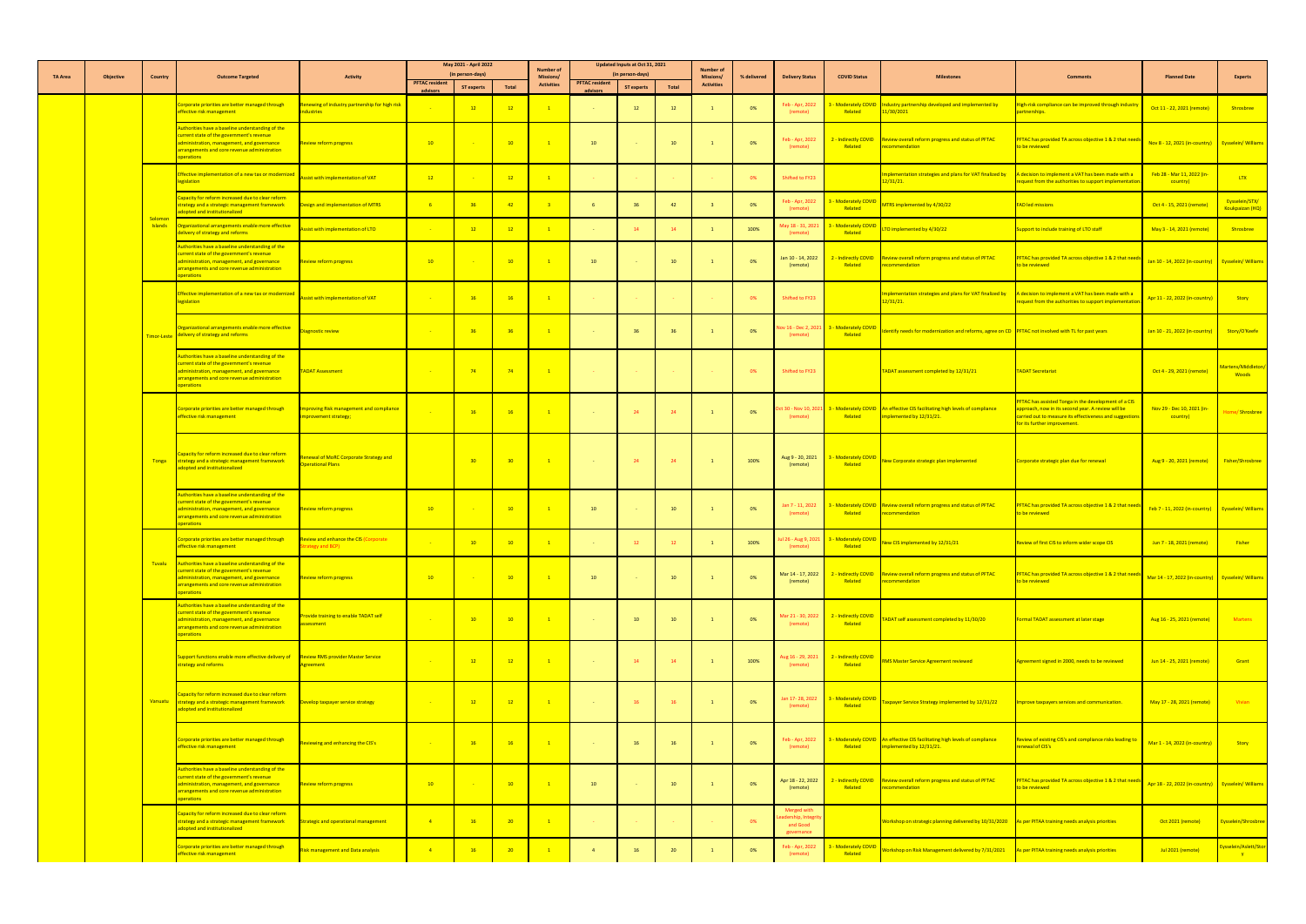|                |           |                           |                                                                                                                                                                                                                        |                                                                    |                                   | May 2021 - April 2022                 |                 | <b>Number of</b>                      | Updated Inputs at Oct 31, 2021    |                                       | <b>Number of</b> |                                       |                |                                                            |                                        |                                                                                                                           |                                                                                                                                                                                                       |                                                      |                                       |
|----------------|-----------|---------------------------|------------------------------------------------------------------------------------------------------------------------------------------------------------------------------------------------------------------------|--------------------------------------------------------------------|-----------------------------------|---------------------------------------|-----------------|---------------------------------------|-----------------------------------|---------------------------------------|------------------|---------------------------------------|----------------|------------------------------------------------------------|----------------------------------------|---------------------------------------------------------------------------------------------------------------------------|-------------------------------------------------------------------------------------------------------------------------------------------------------------------------------------------------------|------------------------------------------------------|---------------------------------------|
| <b>TA Area</b> | Objective | <b>Country</b>            | <b>Outcome Targeted</b>                                                                                                                                                                                                | <b>Activity</b>                                                    | <b>PFTAC resident</b><br>advisors | (in person-days)<br><b>ST experts</b> | <b>Total</b>    | <b>Missions/</b><br><b>Activities</b> | <b>PFTAC resident</b><br>advisors | (in person-days)<br><b>ST experts</b> | Total            | <b>Missions/</b><br><b>Activities</b> | % delivered    | <b>Delivery Status</b>                                     | <b>COVID Status</b>                    | <b>Milestones</b>                                                                                                         | <b>Comments</b>                                                                                                                                                                                       | <b>Planned Date</b>                                  | <b>Experts</b>                        |
|                |           |                           | Corporate priorities are better managed through<br>effective risk management                                                                                                                                           | Renewing of industry partnership for high risk<br>dustries         |                                   | $\overline{12}$                       | $-12$           |                                       |                                   | 12                                    |                  |                                       | 0 <sup>%</sup> | Feb - Apr, 2022<br>(remote)                                | Related                                | - Moderately COVID Industry partnership developed and implemented by<br>1 <mark>1/30/2021</mark>                          | igh-risk compliance can be improved through industry<br>artnerships.                                                                                                                                  | Oct 11 - 22, 2021 (remote)                           | Shrosbree                             |
|                |           |                           | Authorities have a baseline understanding of the<br>current state of the government's revenue<br>administration, management, and governance<br>arrangements and core revenue administration<br><mark>operations</mark> | Review reform progress                                             | 10                                |                                       | $-10$           |                                       | 10                                | <b>Contract</b>                       | 10               |                                       | 0%             | Feb - Apr, 2022<br>(remote)                                | Related                                | 2 - Indirectly COVID Review overall reform progress and status of PFTAC<br>recommendation                                 | <b>FTAC has provided TA across objective 1 &amp; 2 that need</b><br><mark>o be reviewed</mark>                                                                                                        | Nov 8 - 12, 2021 (in-country) Eysselein/Williams     |                                       |
|                |           |                           | Effective implementation of a new tax or modernized<br>egislation                                                                                                                                                      | Assist with implementation of VAT                                  | 12                                |                                       | $-12$           |                                       |                                   |                                       |                  |                                       | 0%             | Shifted to FY23                                            |                                        | mplementation strategies and plans for VAT finalized by<br>2/31/21.                                                       | A decision to implement a VAT has been made with a<br>equest from the authorities to support implementatior                                                                                           | Feb 28 - Mar 11, 2022 (in-<br>country)               | <b>LTX</b>                            |
|                |           |                           | Capacity for reform increased due to clear reform<br>strategy and a strategic management framework<br>dopted and institutionalized                                                                                     | Design and implementation of MTRS                                  |                                   | $-36$                                 | $\overline{A2}$ |                                       |                                   | $-36$                                 |                  |                                       | 0%             | Feb - Apr, 2022<br>(remote)                                | - Moderately COVID<br>Related          | MTRS implemented by 4/30/22                                                                                               | <b>AD led missions</b>                                                                                                                                                                                | Oct 4 - 15, 2021 (remote)                            | Eysselein/STX/<br>Koukpaizan (HQ)     |
|                |           | Solomon<br><b>Islands</b> | Irganizational arrangements enable more effective<br>delivery of strategy and reforms                                                                                                                                  | <b>Assist with implementation of LTO</b>                           |                                   | $\overline{12}$                       | $-12$           |                                       |                                   | 14                                    |                  |                                       | 100%           | May 18 - 31, 202<br>(remote)                               | <b>Moderately COVID</b><br>Related     | TO implemented by 4/30/22                                                                                                 | upport to include training of LTO staff                                                                                                                                                               | May 3 - 14, 2021 (remote)                            | Shrosbree                             |
|                |           |                           | Authorities have a baseline understanding of the<br>current state of the government's revenue<br>administration, management, and governance<br><b>Irrangements and core revenue administration</b><br>perations        | <b>Review reform progress</b>                                      | 10 <sup>°</sup>                   |                                       | $-10$           |                                       | 10 <sup>°</sup>                   |                                       | 10               |                                       | 0%             | Jan 10 - 14, 2022<br>(remote)                              | Related                                | - Indirectly COVID Review overall reform progress and status of PFTAC<br>ecommendation                                    | <b>FTAC has provided TA across objective 1 &amp; 2 that need</b><br><mark>o be reviewed</mark>                                                                                                        | Jan 10 - 14, 2022 (in-country)   Eysselein/ Williams |                                       |
|                |           |                           | Effective implementation of a new tax or modernized<br>egislation                                                                                                                                                      | Assist with implementation of VAT                                  |                                   | $-16$                                 | $-16$           |                                       |                                   |                                       |                  |                                       | 0%             | Shifted to FY23                                            |                                        | mplementation strategies and plans for VAT finalized by $A$ decision to implement a VAT has been made with a<br>12/31/21. | equest from the authorities to support implementatior                                                                                                                                                 | Apr 11 - 22, 2022 (in-country)                       | <mark>Story</mark>                    |
|                |           |                           | Organizational arrangements enable more effective<br>Timor-Leste delivery of strategy and reforms                                                                                                                      | iagnostic review                                                   |                                   | $-36$                                 | $-36$           | $-1$                                  | <b>Contract</b>                   | 36                                    | 36               |                                       | 0%             | ov 16 - Dec 2, 202<br>(remote)                             | <b>S</b> - Moderately COVID<br>Related | Identify needs for modernization and reforms, agree on CD PFTAC not involved with TL for past years                       |                                                                                                                                                                                                       | Jan 10 - 21, 2022 (in-country) Story/O'Keefe         |                                       |
|                |           |                           | ithorities have a baseline understanding of the<br>urrent state of the government's revenue<br>administration, management, and governance<br>arrangements and core revenue administration<br>operations                | <b>TADAT Assessment</b>                                            |                                   | $-74$                                 | $-74$           | $\sim$ 1                              | and the second control of         | <b>Contractor</b>                     |                  |                                       | $0\%$          | Shifted to FY23                                            |                                        | TADAT assessment completed by 12/31/21                                                                                    | <b>TADAT Secretariat</b>                                                                                                                                                                              | Oct 4 - 29, 2021 (remote)                            | Martens/Middleton/<br><b>Woods</b>    |
|                |           |                           | Corporate priorities are better managed through<br>effective risk management                                                                                                                                           | Improving Risk management and compliance<br>improvement strategy;  |                                   | 16                                    | 16              | $\blacktriangle$ 1                    |                                   | 24                                    | 24               |                                       | 0%             | Oct 30 - Nov 10, 20.<br>(remote)                           | Related                                | 3 - Moderately COVID An effective CIS facilitating high levels of compliance<br>implemented by 12/31/21.                  | PFTAC has assisted Tonga in the development of a CIS<br>approach, now in its second year. A review will be<br>carried out to measure its effectiveness and suggestion<br>for its further improvement. | Nov 29 - Dec 10, 2021 (in-<br><mark>country)</mark>  | Home/ Shrosbree                       |
|                |           | Tonga                     | Capacity for reform increased due to clear reform<br>strategy and a strategic management framework<br>adopted and institutionalized                                                                                    | Renewal of MoRC Corporate Strategy and<br><b>Operational Plans</b> |                                   | $-30$                                 | 30 <sup>°</sup> | $\blacksquare$ 1                      |                                   | 24                                    | 24               |                                       | 100%           | Aug 9 - 20, 2021<br>(remote)                               | <b>- Moderately COVID</b><br>Related   | New Corporate strategic plan implemented                                                                                  | Corporate strategic plan due for renewal                                                                                                                                                              | Aug 9 - 20, 2021 (remote)                            | Fisher/Shrosbree                      |
|                |           |                           | Authorities have a baseline understanding of the<br>current state of the government's revenue<br>administration, management, and governance<br>arrangements and core revenue administration<br>perations               | Review reform progress                                             | 10                                |                                       | 10              |                                       | 10                                |                                       | 10               |                                       | 0%             | Jan 7 - 11, 2022<br>(remote)                               | Related                                | 3 - Moderately COVID Review overall reform progress and status of PFTAC<br>recommendation                                 | PFTAC has provided TA across objective 1 & 2 that need<br><mark>o be reviewed</mark>                                                                                                                  | Feb 7 - 11, 2022 (in-country)   Eysselein/ Williams  |                                       |
|                |           |                           | Corporate priorities are better managed through<br>effective risk management                                                                                                                                           | Review and enhance the CIS (Corporate<br><b>Strategy and BCP)</b>  |                                   | 10                                    | 10              |                                       |                                   | 12                                    |                  |                                       | 100%           | Jul 26 - Aug 9, 202<br>(remote)                            | <b>A</b> - Moderately COVID<br>Related | New CIS implemented by 12/31/21                                                                                           | eview of first CIS to inform wider scope CIS                                                                                                                                                          | Jun 7 - 18, 2021 (remote)                            | <b>Fisher</b>                         |
|                |           | Tuvalu                    | Authorities have a baseline understanding of the<br>current state of the government's revenue<br>administration, management, and governance<br>arrangements and core revenue administration<br>perations               | <b>Review reform progress</b>                                      | 10                                |                                       | 10 <sup>1</sup> |                                       | 10                                | $\sim 100$                            | 10               |                                       | 0%             | Mar 14 - 17, 2022<br>(remote)                              | Related                                | 2 - Indirectly COVID Review overall reform progress and status of PFTAC<br>ecommendation                                  | <b>FTAC has provided TA across objective 1 &amp; 2 that need</b><br>o be reviewed                                                                                                                     | Mar 14 - 17, 2022 (in-country) Eysselein/ Williams   |                                       |
|                |           |                           | Authorities have a baseline understanding of the<br>current state of the government's revenue<br>administration, management, and governance<br>arrangements and core revenue administration<br>perations               | Provide training to enable TADAT self<br>ssessment                 |                                   | $\overline{10}$                       | $-10$           | $\blacksquare$ 1                      | <b>Contract</b>                   | 10                                    | 10               |                                       | 0%             | Mar 21 - 30, 2022<br>(remote)                              | 2 - Indirectly COVID<br>Related        | TADAT self assessment completed by 11/30/20                                                                               | Formal TADAT assessment at later stage                                                                                                                                                                | Aug 16 - 25, 2021 (remote)                           | Martens                               |
|                |           |                           | pport functions enable more effective delivery of <b>Review RMS provider Master Service</b><br>trategy and reforms                                                                                                     | Agreement                                                          |                                   | 12                                    | $-12$           |                                       |                                   | -14                                   |                  |                                       | 100%           | ug 16 - 29, 2021.<br>(remote)                              | <u>- Indirectly COVID</u><br>Related   | RMS Master Service Agreement reviewed                                                                                     | greement signed in 2000, needs to be reviewed                                                                                                                                                         | Jun 14 - 25, 2021 (remote)                           | Grant                                 |
|                |           | Vanuatu                   | Capacity for reform increased due to clear reform<br>strategy and a strategic management framework<br>dopted and institutionalized                                                                                     | Develop taxpayer service strategy                                  |                                   | $\frac{12}{ }$                        | $-12$           |                                       |                                   | 16                                    | 16               |                                       | 0%             | Jan 17-28, 2022<br>(remote)                                | 3 - Moderately COVID<br>Related        | axpayer Service Strategy implemented by 12/31/22                                                                          | mprove taxpayers services and communication.                                                                                                                                                          | May 17 - 28, 2021 (remote)                           | <b>Vivian</b>                         |
|                |           |                           | Corporate priorities are better managed through<br>effective risk management                                                                                                                                           | Reviewing and enhancing the CIS's                                  |                                   | $-16$                                 | $-16$           |                                       |                                   | 16                                    | <sup>16</sup>    |                                       | 0%             | Feb - Apr, 2022<br>(remote)                                | Related                                | 3 - Moderately COVID An effective CIS facilitating high levels of compliance<br>implemented by 12/31/21.                  | eview of existing CIS's and compliance risks leading to<br>enewal of CIS's                                                                                                                            | Mar 1 - 14, 2022 (in-country)                        | <mark>Story</mark>                    |
|                |           |                           | Authorities have a baseline understanding of the<br>current state of the government's revenue<br>administration, management, and governance<br>arrangements and core revenue administration<br>perations               | Review reform progress                                             | 10                                |                                       | $-10$           |                                       | 10                                | <b>Contract</b>                       | 10               |                                       | 0%             | Apr 18 - 22, 2022<br>(remote)                              | Related                                | 2 - Indirectly COVID Review overall reform progress and status of PFTAC<br>recommendation                                 | PFTAC has provided TA across objective 1 & 2 that need<br>o be reviewed                                                                                                                               | Apr 18 - 22, 2022 (in-country) Eysselein/Williams    |                                       |
|                |           |                           | Capacity for reform increased due to clear reform<br>trategy and a strategic management framework<br>adopted and institutionalized                                                                                     | Strategic and operational management                               | $\overline{4}$                    | 16                                    | 20 <sup>°</sup> |                                       |                                   |                                       |                  |                                       | 0%             | Merged with<br>adership, Integri<br>and Good<br>governance |                                        | Workshop on strategic planning delivered by 10/31/2020 As per PITAA training needs analysis priorities                    |                                                                                                                                                                                                       | Oct 2021 (remote)                                    | Eysselein/Shrosbree                   |
|                |           |                           | Corporate priorities are better managed through<br>effective risk management                                                                                                                                           | Risk management and Data analysis                                  | $\overline{4}$                    | $-16$                                 | 20 <sup>°</sup> |                                       |                                   | 16                                    |                  |                                       | 0%             | Feb - Apr, 2022<br>(remote)                                | - Moderately COVID<br>Related          | Norkshop on Risk Management delivered by 7/31/2021                                                                        | As per PITAA training needs analysis priorities                                                                                                                                                       | Jul 2021 (remote)                                    | Eysselein/Aslett/Stor<br>$\mathbf{y}$ |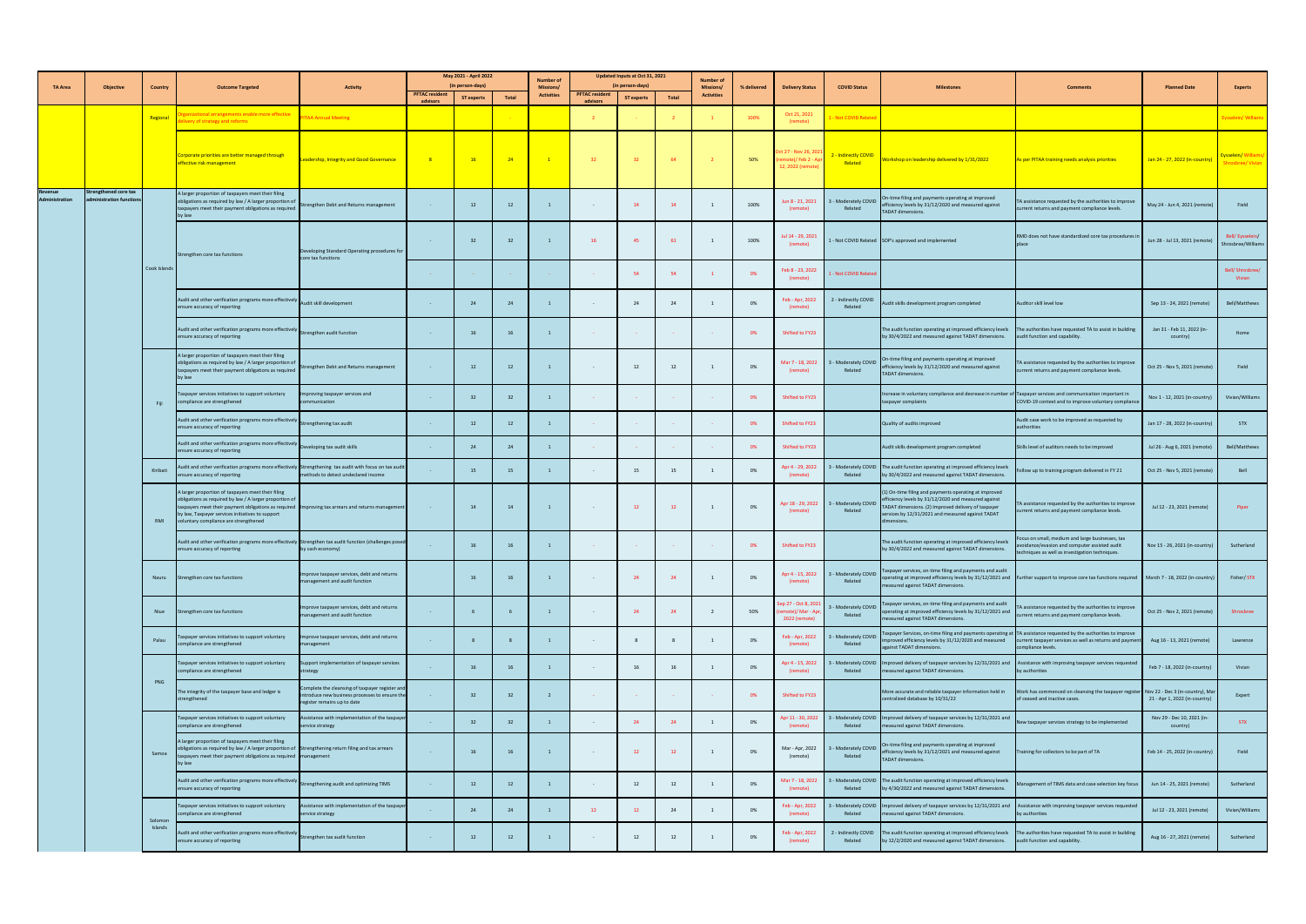|                          |                                                          |                |                                                                                                                                                                                                                                                                                                                |                                                                                                                                  |                       | May 2021 - April 2022 |               | <b>Number of</b>              |                       | Updated Inputs at Oct 31, 2021 |                          | <b>Number of</b>  |             |                                                               |                                                   |                                                                                                                                                                                                                                                    |                                                                                                                                                      |                                        |                                         |
|--------------------------|----------------------------------------------------------|----------------|----------------------------------------------------------------------------------------------------------------------------------------------------------------------------------------------------------------------------------------------------------------------------------------------------------------|----------------------------------------------------------------------------------------------------------------------------------|-----------------------|-----------------------|---------------|-------------------------------|-----------------------|--------------------------------|--------------------------|-------------------|-------------|---------------------------------------------------------------|---------------------------------------------------|----------------------------------------------------------------------------------------------------------------------------------------------------------------------------------------------------------------------------------------------------|------------------------------------------------------------------------------------------------------------------------------------------------------|----------------------------------------|-----------------------------------------|
| TA Area                  | <b>Objective</b>                                         | <b>Country</b> | <b>Outcome Targeted</b>                                                                                                                                                                                                                                                                                        | <b>Activity</b>                                                                                                                  | <b>PFTAC resident</b> | (in person-days)      |               | <b>Missions/</b>              | <b>PFTAC resident</b> | (in person-days)               |                          | <b>Missions/</b>  | % delivered | <b>Delivery Status</b>                                        | <b>COVID Status</b>                               | <b>Milestones</b>                                                                                                                                                                                                                                  | <b>Comments</b>                                                                                                                                      | <b>Planned Date</b>                    | <b>Experts</b>                          |
|                          |                                                          |                |                                                                                                                                                                                                                                                                                                                |                                                                                                                                  | advisors              | <b>ST experts</b>     | Total         | <b>Activities</b>             |                       | <b>ST experts</b>              | Total                    | <b>Activities</b> |             |                                                               |                                                   |                                                                                                                                                                                                                                                    |                                                                                                                                                      |                                        |                                         |
|                          |                                                          | Regional       | zanızatıonal arrangements enable more effective<br>elivery of strategy and reforms                                                                                                                                                                                                                             | <b>PITAA Annual Meeting</b>                                                                                                      |                       |                       |               |                               |                       |                                |                          |                   | 100%        | Oct 21, 2021<br>(remote)                                      | - Not COVID Relate                                |                                                                                                                                                                                                                                                    |                                                                                                                                                      |                                        | Eysselein/William:                      |
|                          |                                                          |                | Corporate priorities are better managed through<br>effective risk management                                                                                                                                                                                                                                   | Leadership, Integrity and Good Governance                                                                                        |                       | $-16$                 | 24            |                               | 32 <sub>2</sub>       | 32 <sup>2</sup>                | 64                       |                   | 50%         | Oct 27 - Nov 26, 202<br>emote)/ Feb 2 - A<br>12, 2022 (remote | - Indirectly COVID<br>Related                     | Workshop on leadership delivered by 1/31/2022                                                                                                                                                                                                      | As per PITAA training needs analysis priorities                                                                                                      | Jan 24 - 27, 2022 (in-country)         | Eysselein/ Williams<br>Shrosbree/Vivian |
| evenue<br>Administration | <b>Strengthened core tax</b><br>administration functions |                | A larger proportion of taxpayers meet their filing<br>obligations as required by law / A larger proportion of<br>taxpayers meet their payment obligations as required<br>by law                                                                                                                                | Strengthen Debt and Returns management                                                                                           |                       | 12                    | 12            |                               |                       | 14                             |                          |                   | 100%        | Jun 8 - 21, 2021<br>(remote)                                  | 3 - Moderately COVID<br>Related                   | On-time filing and payments operating at improved<br>efficiency levels by 31/12/2020 and measured against<br><b>TADAT dimensions.</b>                                                                                                              | TA assistance requested by the authorities to improve<br>current returns and payment compliance levels.                                              | May 24 - Jun 4, 2021 (remote)          | Field                                   |
|                          |                                                          |                | Strengthen core tax functions                                                                                                                                                                                                                                                                                  | Developing Standard Operating procedures for<br>core tax functions                                                               |                       | 32                    |               |                               | -16                   | - 45                           | 61                       |                   | 100%        | Jul 14 - 29, 2021<br>(remote)                                 |                                                   | 1 - Not COVID Related SOP's approved and implemented                                                                                                                                                                                               | RMD does not have standardized core tax procedures in<br>place                                                                                       | Jun 28 - Jul 13, 2021 (remote)         | Bell/Eysselein/<br>Shrosbree/Williams   |
|                          |                                                          | Cook Islands   |                                                                                                                                                                                                                                                                                                                |                                                                                                                                  |                       | <b>Contract</b>       |               |                               |                       | 54                             |                          |                   | 0%          | Feb 8 - 23, 2022<br>(remote)                                  | 1 - Not COVID Related                             |                                                                                                                                                                                                                                                    |                                                                                                                                                      |                                        | Bell/Shrosbree/<br>Vivian               |
|                          |                                                          |                | Audit and other verification programs more effectively<br>Audit skill development<br>ensure accuracy of reporting                                                                                                                                                                                              |                                                                                                                                  |                       | 24                    |               |                               |                       | 24                             |                          |                   | 0%          | Feb - Apr, 2022<br>(remote)                                   | 2 - Indirectly COVID<br>Related                   | Audit skills development program completed                                                                                                                                                                                                         | Auditor skill level low                                                                                                                              | Sep 13 - 24, 2021 (remote)             | Bell/Matthews                           |
|                          |                                                          |                | Audit and other verification programs more effectively<br>ensure accuracy of reporting                                                                                                                                                                                                                         | Strengthen audit function                                                                                                        |                       |                       |               |                               |                       | <b>Common</b>                  | <b>Contract Contract</b> |                   | 0%          | Shifted to FY23                                               |                                                   | The audit function operating at improved efficiency levels<br>by 30/4/2022 and measured against TADAT dimensions.                                                                                                                                  | The authorities have requested TA to assist in building<br>audit function and capability.                                                            | Jan 31 - Feb 11, 2022 (in-<br>country) | Home                                    |
|                          |                                                          |                | A larger proportion of taxpayers meet their filing<br>obligations as required by law / A larger proportion of Strengthen Debt and Returns management 12<br>taxpayers meet their payment obligations as required<br>by law                                                                                      |                                                                                                                                  |                       |                       |               | $\mathbf{1}$ and $\mathbf{1}$ |                       |                                |                          | $\sim$ 1          | 0%          | (remote)                                                      | Related                                           | Mar 7 - 18, 2022 3 - Moderately COVID On-time filing and payments operating at improved<br>(romoto) Related Priciency levels by 31/12/2020 and measured against<br><b>TADAT</b> dimensions.                                                        | TA assistance requested by the authorities to improve 0ct 25 - Nov 5, 2021 (remote) Field<br>current returns and payment compliance levels.          |                                        |                                         |
|                          |                                                          | Fiji           | Taxpayer services initiatives to support voluntary<br>compliance are strengthened                                                                                                                                                                                                                              | Improving taxpayer services and<br>communication                                                                                 |                       | - 32                  |               |                               |                       | <b>Contractor</b>              |                          |                   | 0%          | Shifted to FY23                                               |                                                   | Increase in voluntary compliance and decrease in number of Taxpayer services and communication important in<br>taxpayer complaints                                                                                                                 | COVID-19 context and to improve voluntary compliance                                                                                                 | Nov 1 - 12, 2021 (in-country)          | Vivian/Williams                         |
|                          |                                                          |                | Audit and other verification programs more effective<br>ensure accuracy of reporting                                                                                                                                                                                                                           | Strengthening tax audit                                                                                                          |                       | 12                    | <sup>12</sup> |                               |                       |                                |                          |                   | 0%          | Shifted to FY23                                               |                                                   | Quality of audits improved                                                                                                                                                                                                                         | Audit case work to be improved as requested by<br>authorities                                                                                        | Jan 17 - 28, 2022 (in-country)         | <b>STX</b>                              |
|                          |                                                          |                | Audit and other verification programs more effectively<br>ensure accuracy of reporting                                                                                                                                                                                                                         | Developing tax audit skills                                                                                                      |                       | 24                    |               |                               |                       | <b>State State</b>             |                          |                   | 0%          | Shifted to FY23                                               |                                                   | Audit skills development program completed                                                                                                                                                                                                         | Skills level of auditors needs to be improved                                                                                                        | Jul 26 - Aug 6, 2021 (remote)          | Bell/Matthews                           |
|                          |                                                          | Kiribati       | Audit and other verification programs more effectively Strengthening tax audit with focus on tax audit<br>ensure accuracy of reporting                                                                                                                                                                         | methods to detect undeclared income                                                                                              |                       | 15                    |               |                               |                       | 15                             | -15                      |                   | 0%          | Apr 4 - 29, 2022<br>(remote)                                  | Related                                           | 3 - Moderately COVID The audit function operating at improved efficiency levels<br>by 30/4/2022 and measured against TADAT dimensions.                                                                                                             | ollow up to training program delivered in FY 21                                                                                                      | Oct 25 - Nov 5, 2021 (remote)          | Bell                                    |
|                          |                                                          | RMI            | A larger proportion of taxpayers meet their filing<br>obligations as required by law / A larger proportion of<br>taxpayers meet their payment obligations as required Improving tax arrears and returns management<br>by law, Taxpayer services initiatives to support<br>oluntary compliance are strengthened |                                                                                                                                  |                       | 14                    | 14            |                               |                       | 12                             | 12                       |                   | 0%          | (remote)                                                      | Apr 18 - 29, 2022 3 - Moderately COVID<br>Related | (1) On-time filing and payments operating at improved<br>efficiency levels by 31/12/2020 and measured against<br>TADAT dimensions. (2) Improved delivery of taxpayer<br>services by 12/31/2021 and measured against TADAT<br>imensions.            | TA assistance requested by the authorities to improve<br>current returns and payment compliance levels.                                              | Jul 12 - 23, 2021 (remote)             | Piper                                   |
|                          |                                                          |                | Audit and other verification programs more effectively Strengthen tax audit function (challenges posed<br>ensure accuracy of reporting                                                                                                                                                                         | by cash economy)                                                                                                                 |                       |                       | 16            |                               |                       | <b>State State</b>             |                          |                   | 0%          | Shifted to FY23                                               |                                                   | The audit function operating at improved efficiency levels<br>by 30/4/2022 and measured against TADAT dimensions.                                                                                                                                  | Focus on small, medium and large businesses, tax<br>avoidance/evasion and computer assisted audit<br>techniques as well as investigation techniques. | Nov 15 - 26, 2021 (in-country)         | Sutherland                              |
|                          |                                                          |                | Nauru Strengthen core tax functions                                                                                                                                                                                                                                                                            | Improve taxpayer services, debt and returns<br>management and audit function                                                     |                       |                       | 16            |                               |                       | 24                             | -24                      |                   | 0%          | Apr 4 - 15, 2022<br>(remote)                                  | 3 - Moderately COVID<br>Related                   | Taxpayer services, on-time filing and payments and audit<br>operating at improved efficiency levels by 31/12/2021 and Further support to improve core tax functions required March 7 - 18, 2022 (in-country)<br>measured against TADAT dimensions. |                                                                                                                                                      |                                        | Fisher/STX                              |
|                          |                                                          | Niue           | Strengthen core tax functions                                                                                                                                                                                                                                                                                  | Improve taxpayer services, debt and returns<br>management and audit function                                                     |                       |                       |               |                               |                       | 24                             | 24                       |                   | 50%         | Sep 27 - Oct 8, 202<br>mote)/Mar - Ap<br>2022 (remote)        | 3 - Moderately COVID<br>Related                   | Taxpayer services, on-time filing and payments and audit<br>operating at improved efficiency levels by 31/12/2021 and<br>measured against TADAT dimensions.                                                                                        | TA assistance requested by the authorities to improve<br>current returns and payment compliance levels.                                              | Oct 25 - Nov 2, 2021 (remote)          | Shrosbree                               |
|                          |                                                          | Palau          | Taxpayer services initiatives to support voluntary<br>compliance are strengthened                                                                                                                                                                                                                              | Improve taxpayer services, debt and returns<br>management                                                                        |                       |                       |               |                               |                       |                                |                          |                   | 0%          | Feb - Apr, 2022<br>(remote)                                   | 3 - Moderately COVID<br>Related                   | axpayer Services, on-time filing and payments operating at TA assistance requested by the authorities to improve<br>improved efficiency levels by 31/12/2020 and measured<br>against TADAT dimensions.                                             | current taxpayer services as well as returns and payment<br>compliance levels.                                                                       | Aug 16 - 13, 2021 (remote)             | Lawrence                                |
|                          |                                                          | <b>PNG</b>     | Taxpayer services initiatives to support voluntary<br>ompliance are strengthened                                                                                                                                                                                                                               | Support implementation of taxpayer services<br>strategy                                                                          |                       |                       | 16            |                               |                       |                                | 16                       |                   | 0%          | (remote)                                                      | Related                                           | Apr 4 - 15, 2022 3 - Moderately COVID Improved delivery of taxpayer services by 12/31/2021 and Assistance with improving taxpayer services requested<br>measured against TADAT dimensions.                                                         | by authorities                                                                                                                                       | Feb 7 - 18, 2022 (in-country)          | Vivian                                  |
|                          |                                                          |                | The integrity of the taxpayer base and ledger is<br>strengthened                                                                                                                                                                                                                                               | Complete the cleansing of taxpayer register and<br>introduce new business processes to ensure the<br>register remains up to date |                       | 32                    |               |                               |                       | <b>Contract</b>                |                          |                   | 0%          | Shifted to FY23                                               |                                                   | More accurate and reliable taxpayer information held in<br>centralized database by 10/31/22                                                                                                                                                        | Work has commenced on cleansing the taxpayer register Nov 22 - Dec 3 (in-country), Mar<br>of ceased and inactive cases.                              | 21 - Apr 1, 2022 (in-country)          | Expert                                  |
|                          |                                                          |                | Taxpayer services initiatives to support voluntary<br>compliance are strengthened                                                                                                                                                                                                                              | sistance with implementation of the taxpayer<br>service strategy                                                                 |                       | - 22                  |               |                               |                       | 24                             |                          |                   | 0%          | Apr 11 - 30, 2022<br>(remote)                                 | 3 - Moderately COVID<br>Related                   | mproved delivery of taxpayer services by 12/31/2021 and<br>measured against TADAT dimensions.                                                                                                                                                      | New taxpayer services strategy to be implemented                                                                                                     | Nov 29 - Dec 10, 2021 (in-<br>country) | <b>STX</b>                              |
|                          |                                                          | Samoa          | A larger proportion of taxpayers meet their filing<br>obligations as required by law / A larger proportion of Strengthening return filing and tax arrears<br>axpayers meet their payment obligations as required management<br>by law                                                                          |                                                                                                                                  |                       |                       | 16            |                               |                       | 12                             | 12                       |                   | 0%          | Mar - Apr, 2022<br>(remote)                                   | 3 - Moderately COVID<br>Related                   | On-time filing and payments operating at improved<br>efficiency levels by 31/12/2021 and measured against<br><b>TADAT dimensions.</b>                                                                                                              | Training for collectors to be part of TA                                                                                                             | Feb 14 - 25, 2022 (in-country)         | Field                                   |
|                          |                                                          |                | Audit and other verification programs more effective<br>ensure accuracy of reporting                                                                                                                                                                                                                           | Strengthening audit and optimizing TIMS                                                                                          |                       | 12                    | 12            |                               |                       | 12                             | 12                       |                   | 0%          | Mar 7 - 18, 2022<br>(remote)                                  | Related                                           | 3 - Moderately COVID The audit function operating at improved efficiency levels<br>by 4/30/2022 and measured against TADAT dimensions.                                                                                                             | Management of TIMS data and case selection key focus                                                                                                 | Jun 14 - 25, 2021 (remote)             | Sutherland                              |
|                          |                                                          | Solomon        | Taxpayer services initiatives to support voluntary<br>compliance are strengthened                                                                                                                                                                                                                              | sistance with implementation of the taxpayer<br>service strategy                                                                 |                       | 24                    |               |                               | 12                    | 12                             | 24                       |                   | 0%          | Feb - Apr, 2022<br>(remote)                                   | Related                                           | - Moderately COVID Improved delivery of taxpayer services by 12/31/2021 and<br>measured against TADAT dimensions.                                                                                                                                  | Assistance with improving taxpayer services requested<br>by authorities                                                                              | Jul 12 - 23, 2021 (remote)             | Vivian/Williams                         |
|                          |                                                          | Islands        | Audit and other verification programs more effectively<br>ensure accuracy of reporting                                                                                                                                                                                                                         | Strengthen tax audit function                                                                                                    |                       | 12                    | 12            |                               |                       | 12                             | 12                       |                   | 0%          | Feb - Apr, 2022<br>(remote)                                   | Related                                           | 1 - Indirectly COVID The audit function operating at improved efficiency levels<br>by 12/2/2020 and measured against TADAT dimensions.                                                                                                             | The authorities have requested TA to assist in building<br>audit function and capability.                                                            | Aug 16 - 27, 2021 (remote)             | Sutherland                              |